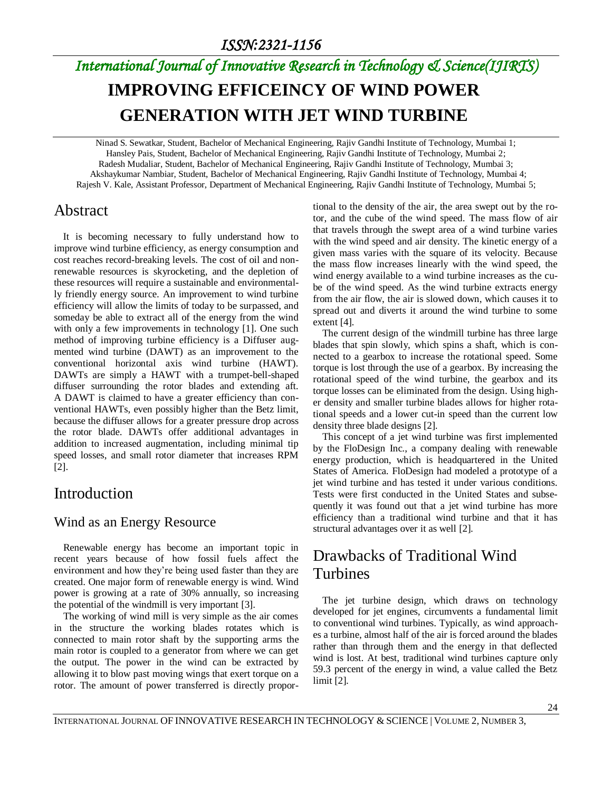#### *ISSN:2321-1156*

# *International Journal of Innovative Research in Technology & Science(IJIRTS)* **IMPROVING EFFICEINCY OF WIND POWER GENERATION WITH JET WIND TURBINE**

Ninad S. Sewatkar, Student, Bachelor of Mechanical Engineering, Rajiv Gandhi Institute of Technology, Mumbai 1; Hansley Pais, Student, Bachelor of Mechanical Engineering, Rajiv Gandhi Institute of Technology, Mumbai 2; Radesh Mudaliar, Student, Bachelor of Mechanical Engineering, Rajiv Gandhi Institute of Technology, Mumbai 3; Akshaykumar Nambiar, Student, Bachelor of Mechanical Engineering, Rajiv Gandhi Institute of Technology, Mumbai 4; Rajesh V. Kale, Assistant Professor, Department of Mechanical Engineering, Rajiv Gandhi Institute of Technology, Mumbai 5;

### Abstract

It is becoming necessary to fully understand how to improve wind turbine efficiency, as energy consumption and cost reaches record-breaking levels. The cost of oil and nonrenewable resources is skyrocketing, and the depletion of these resources will require a sustainable and environmentally friendly energy source. An improvement to wind turbine efficiency will allow the limits of today to be surpassed, and someday be able to extract all of the energy from the wind with only a few improvements in technology [1]. One such method of improving turbine efficiency is a Diffuser augmented wind turbine (DAWT) as an improvement to the conventional horizontal axis wind turbine (HAWT). DAWTs are simply a HAWT with a trumpet-bell-shaped diffuser surrounding the rotor blades and extending aft. A DAWT is claimed to have a greater efficiency than conventional HAWTs, even possibly higher than the Betz limit, because the diffuser allows for a greater pressure drop across the rotor blade. DAWTs offer additional advantages in addition to increased augmentation, including minimal tip speed losses, and small rotor diameter that increases RPM [2].

## Introduction

#### Wind as an Energy Resource

Renewable energy has become an important topic in recent years because of how fossil fuels affect the environment and how they're being used faster than they are created. One major form of renewable energy is wind. Wind power is growing at a rate of 30% annually, so increasing the potential of the windmill is very important [3].

The working of wind mill is very simple as the air comes in the structure the working blades rotates which is connected to main rotor shaft by the supporting arms the main rotor is coupled to a generator from where we can get the output. The power in the wind can be extracted by allowing it to blow past moving wings that exert torque on a rotor. The amount of power transferred is directly proportional to the density of the air, the area swept out by the rotor, and the cube of the wind speed. The mass flow of air that travels through the swept area of a wind turbine varies with the wind speed and air density. The kinetic energy of a given mass varies with the square of its velocity. Because the mass flow increases linearly with the wind speed, the wind energy available to a wind turbine increases as the cube of the wind speed. As the wind turbine extracts energy from the air flow, the air is slowed down, which causes it to spread out and diverts it around the wind turbine to some extent [4].

The current design of the windmill turbine has three large blades that spin slowly, which spins a shaft, which is connected to a gearbox to increase the rotational speed. Some torque is lost through the use of a gearbox. By increasing the rotational speed of the wind turbine, the gearbox and its torque losses can be eliminated from the design. Using higher density and smaller turbine blades allows for higher rotational speeds and a lower cut-in speed than the current low density three blade designs [2].

This concept of a jet wind turbine was first implemented by the FloDesign Inc., a company dealing with renewable energy production, which is headquartered in the United States of America. FloDesign had modeled a prototype of a jet wind turbine and has tested it under various conditions. Tests were first conducted in the United States and subsequently it was found out that a jet wind turbine has more efficiency than a traditional wind turbine and that it has structural advantages over it as well [2].

## Drawbacks of Traditional Wind Turbines

The jet turbine design, which draws on technology developed for jet engines, circumvents a fundamental limit to conventional wind turbines. Typically, as wind approaches a turbine, almost half of the air is forced around the blades rather than through them and the energy in that deflected wind is lost. At best, traditional wind turbines capture only 59.3 percent of the energy in wind, a value called the Betz limit [2].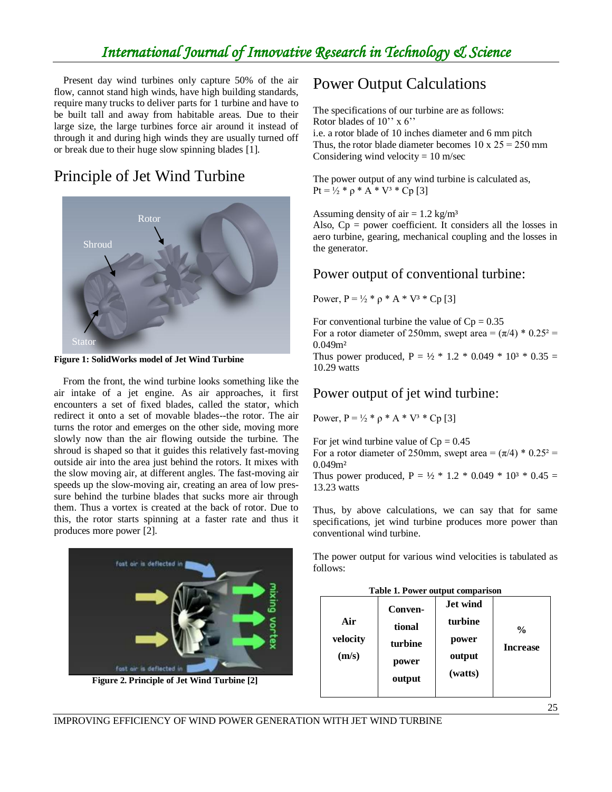## *International Journal of Innovative Research in Technology & Science*

Present day wind turbines only capture 50% of the air flow, cannot stand high winds, have high building standards, require many trucks to deliver parts for 1 turbine and have to be built tall and away from habitable areas. Due to their large size, the large turbines force air around it instead of through it and during high winds they are usually turned off or break due to their huge slow spinning blades [1].

## Principle of Jet Wind Turbine



**Figure 1: SolidWorks model of Jet Wind Turbine**

From the front, the wind turbine looks something like the air intake of a jet engine. As air approaches, it first encounters a set of fixed blades, called the stator, which redirect it onto a set of movable blades--the rotor. The air turns the rotor and emerges on the other side, moving more slowly now than the air flowing outside the turbine. The shroud is shaped so that it guides this relatively fast-moving outside air into the area just behind the rotors. It mixes with the slow moving air, at different angles. The fast-moving air speeds up the slow-moving air, creating an area of low pressure behind the turbine blades that sucks more air through them. Thus a vortex is created at the back of rotor. Due to this, the rotor starts spinning at a faster rate and thus it produces more power [2].



 **Figure 2. Principle of Jet Wind Turbine [2]**

## Power Output Calculations

The specifications of our turbine are as follows: Rotor blades of 10'' х 6'' i.e. a rotor blade of 10 inches diameter and 6 mm pitch Thus, the rotor blade diameter becomes  $10 \times 25 = 250$  mm Considering wind velocity  $= 10$  m/sec

The power output of any wind turbine is calculated as, Pt =  $\frac{1}{2}$  \*  $\rho$  \* A \* V<sup>3</sup> \* Cp [3]

Assuming density of air  $= 1.2$  kg/m<sup>3</sup>

Also,  $Cp = power coefficient$ . It considers all the losses in aero turbine, gearing, mechanical coupling and the losses in the generator.

#### Power output of conventional turbine:

Power,  $P = \frac{1}{2} * \rho * A * V^3 * Cp [3]$ 

For conventional turbine the value of  $Cp = 0.35$ For a rotor diameter of 250mm, swept area =  $(\pi/4) * 0.25^2$  = 0.049m² Thus power produced,  $P = \frac{1}{2} * 1.2 * 0.049 * 10^{3} * 0.35 =$ 10.29 watts

#### Power output of jet wind turbine:

Power,  $P = \frac{1}{2} * \rho * A * V^3 * Cp [3]$ 

For jet wind turbine value of  $Cp = 0.45$ For a rotor diameter of 250mm, swept area =  $(\pi/4) * 0.25^2$  = 0.049m² Thus power produced,  $P = \frac{1}{2} * 1.2 * 0.049 * 10^{3} * 0.45 =$ 13.23 watts

Thus, by above calculations, we can say that for same specifications, jet wind turbine produces more power than conventional wind turbine.

The power output for various wind velocities is tabulated as follows:

| Table 1. Power output comparison |         |                 |                 |  |  |  |
|----------------------------------|---------|-----------------|-----------------|--|--|--|
|                                  | Conven- | <b>Jet wind</b> |                 |  |  |  |
| Air                              | tional  | turbine         | $\frac{0}{0}$   |  |  |  |
| velocity                         | turbine | power           | <b>Increase</b> |  |  |  |
| (m/s)                            | power   | output          |                 |  |  |  |
|                                  | output  | (watts)         |                 |  |  |  |
|                                  |         |                 |                 |  |  |  |

IMPROVING EFFICIENCY OF WIND POWER GENERATION WITH JET WIND TURBINE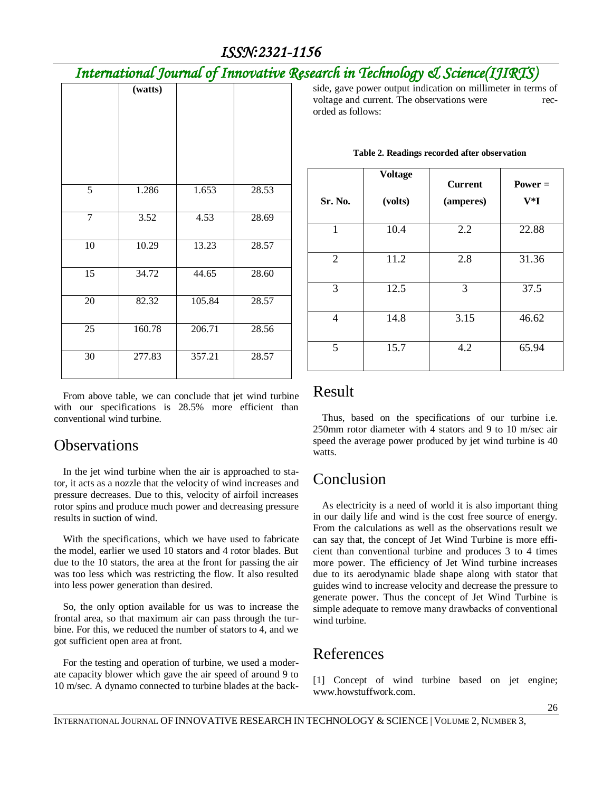## *ISSN:2321-1156*

## *International Journal of Innovative Research in Technology & Science(IJIRTS)*

|                 | (watts) |        |       |
|-----------------|---------|--------|-------|
| $\overline{5}$  | 1.286   | 1.653  | 28.53 |
| $\tau$          | 3.52    | 4.53   | 28.69 |
| 10              | 10.29   | 13.23  | 28.57 |
| 15              | 34.72   | 44.65  | 28.60 |
| 20              | 82.32   | 105.84 | 28.57 |
| $\overline{25}$ | 160.78  | 206.71 | 28.56 |
| 30              | 277.83  | 357.21 | 28.57 |

From above table, we can conclude that jet wind turbine with our specifications is 28.5% more efficient than conventional wind turbine.

## **Observations**

In the jet wind turbine when the air is approached to stator, it acts as a nozzle that the velocity of wind increases and pressure decreases. Due to this, velocity of airfoil increases rotor spins and produce much power and decreasing pressure results in suction of wind.

With the specifications, which we have used to fabricate the model, earlier we used 10 stators and 4 rotor blades. But due to the 10 stators, the area at the front for passing the air was too less which was restricting the flow. It also resulted into less power generation than desired.

So, the only option available for us was to increase the frontal area, so that maximum air can pass through the turbine. For this, we reduced the number of stators to 4, and we got sufficient open area at front.

For the testing and operation of turbine, we used a moderate capacity blower which gave the air speed of around 9 to 10 m/sec. A dynamo connected to turbine blades at the backside, gave power output indication on millimeter in terms of voltage and current. The observations were recorded as follows:

| Sr. No. | <b>Voltage</b><br>(volts) | <b>Current</b><br>(amperes) | $Power =$<br>$V^*I$ |
|---------|---------------------------|-----------------------------|---------------------|
| 1       | 10.4                      | 2.2                         | 22.88               |
| 2       | 11.2                      | 2.8                         | 31.36               |
| 3       | 12.5                      | 3                           | 37.5                |
| 4       | 14.8                      | 3.15                        | 46.62               |
| 5       | 15.7                      | 4.2                         | 65.94               |

#### **Table 2. Readings recorded after observation**

### Result

Thus, based on the specifications of our turbine i.e. 250mm rotor diameter with 4 stators and 9 to 10 m/sec air speed the average power produced by jet wind turbine is 40 watts.

## Conclusion

As electricity is a need of world it is also important thing in our daily life and wind is the cost free source of energy. From the calculations as well as the observations result we can say that, the concept of Jet Wind Turbine is more efficient than conventional turbine and produces 3 to 4 times more power. The efficiency of Jet Wind turbine increases due to its aerodynamic blade shape along with stator that guides wind to increase velocity and decrease the pressure to generate power. Thus the concept of Jet Wind Turbine is simple adequate to remove many drawbacks of conventional wind turbine.

## References

[1] Concept of wind turbine based on jet engine; www.howstuffwork.com.